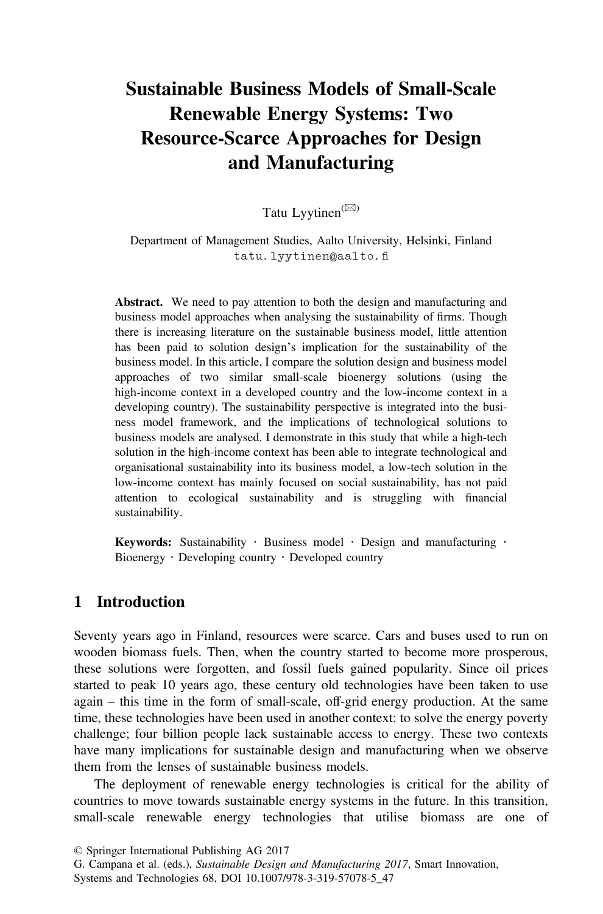# Sustainable Business Models of Small-Scale Renewable Energy Systems: Two Resource-Scarce Approaches for Design and Manufacturing

Tatu Lyytinen $(1)$ 

Department of Management Studies, Aalto University, Helsinki, Finland tatu.lyytinen@aalto.fi

Abstract. We need to pay attention to both the design and manufacturing and business model approaches when analysing the sustainability of firms. Though there is increasing literature on the sustainable business model, little attention has been paid to solution design's implication for the sustainability of the business model. In this article, I compare the solution design and business model approaches of two similar small-scale bioenergy solutions (using the high-income context in a developed country and the low-income context in a developing country). The sustainability perspective is integrated into the business model framework, and the implications of technological solutions to business models are analysed. I demonstrate in this study that while a high-tech solution in the high-income context has been able to integrate technological and organisational sustainability into its business model, a low-tech solution in the low-income context has mainly focused on social sustainability, has not paid attention to ecological sustainability and is struggling with financial sustainability.

Keywords: Sustainability  $\cdot$  Business model  $\cdot$  Design and manufacturing  $\cdot$ Bioenergy  $\cdot$  Developing country  $\cdot$  Developed country

# 1 Introduction

Seventy years ago in Finland, resources were scarce. Cars and buses used to run on wooden biomass fuels. Then, when the country started to become more prosperous, these solutions were forgotten, and fossil fuels gained popularity. Since oil prices started to peak 10 years ago, these century old technologies have been taken to use again – this time in the form of small-scale, off-grid energy production. At the same time, these technologies have been used in another context: to solve the energy poverty challenge; four billion people lack sustainable access to energy. These two contexts have many implications for sustainable design and manufacturing when we observe them from the lenses of sustainable business models.

The deployment of renewable energy technologies is critical for the ability of countries to move towards sustainable energy systems in the future. In this transition, small-scale renewable energy technologies that utilise biomass are one of

<sup>©</sup> Springer International Publishing AG 2017

G. Campana et al. (eds.), Sustainable Design and Manufacturing 2017, Smart Innovation,

Systems and Technologies 68, DOI 10.1007/978-3-319-57078-5\_47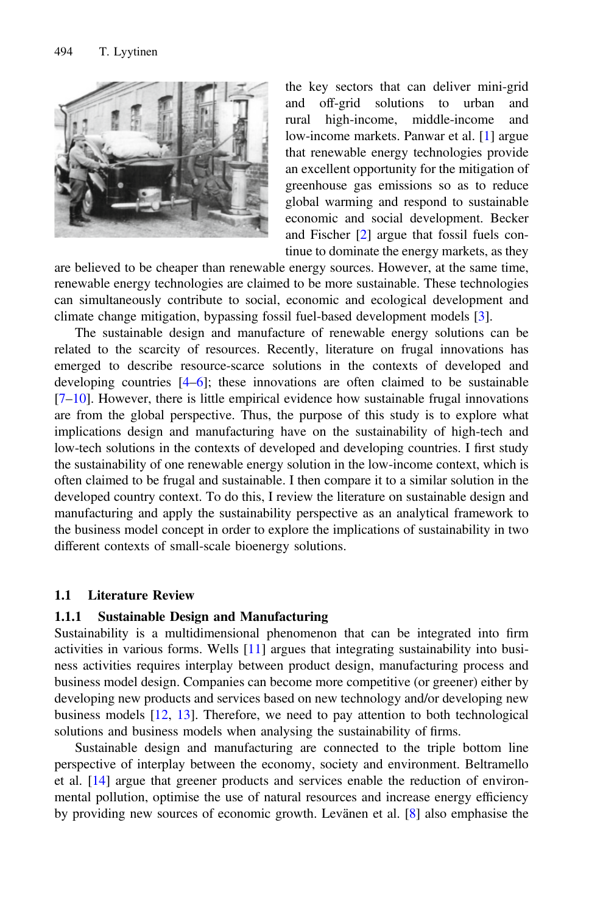

the key sectors that can deliver mini-grid and off-grid solutions to urban and rural high-income, middle-income and low-income markets. Panwar et al. [[1\]](#page-10-0) argue that renewable energy technologies provide an excellent opportunity for the mitigation of greenhouse gas emissions so as to reduce global warming and respond to sustainable economic and social development. Becker and Fischer [[2\]](#page-10-0) argue that fossil fuels continue to dominate the energy markets, as they

are believed to be cheaper than renewable energy sources. However, at the same time, renewable energy technologies are claimed to be more sustainable. These technologies can simultaneously contribute to social, economic and ecological development and climate change mitigation, bypassing fossil fuel-based development models [[3\]](#page-10-0).

The sustainable design and manufacture of renewable energy solutions can be related to the scarcity of resources. Recently, literature on frugal innovations has emerged to describe resource-scarce solutions in the contexts of developed and developing countries [\[4](#page-10-0)–[6](#page-10-0)]; these innovations are often claimed to be sustainable  $[7–10]$  $[7–10]$  $[7–10]$  $[7–10]$ . However, there is little empirical evidence how sustainable frugal innovations are from the global perspective. Thus, the purpose of this study is to explore what implications design and manufacturing have on the sustainability of high-tech and low-tech solutions in the contexts of developed and developing countries. I first study the sustainability of one renewable energy solution in the low-income context, which is often claimed to be frugal and sustainable. I then compare it to a similar solution in the developed country context. To do this, I review the literature on sustainable design and manufacturing and apply the sustainability perspective as an analytical framework to the business model concept in order to explore the implications of sustainability in two different contexts of small-scale bioenergy solutions.

#### 1.1 Literature Review

#### 1.1.1 Sustainable Design and Manufacturing

Sustainability is a multidimensional phenomenon that can be integrated into firm activities in various forms. Wells [[11\]](#page-10-0) argues that integrating sustainability into business activities requires interplay between product design, manufacturing process and business model design. Companies can become more competitive (or greener) either by developing new products and services based on new technology and/or developing new business models [[12,](#page-10-0) [13\]](#page-10-0). Therefore, we need to pay attention to both technological solutions and business models when analysing the sustainability of firms.

Sustainable design and manufacturing are connected to the triple bottom line perspective of interplay between the economy, society and environment. Beltramello et al. [\[14](#page-10-0)] argue that greener products and services enable the reduction of environmental pollution, optimise the use of natural resources and increase energy efficiency by providing new sources of economic growth. Levänen et al. [\[8](#page-10-0)] also emphasise the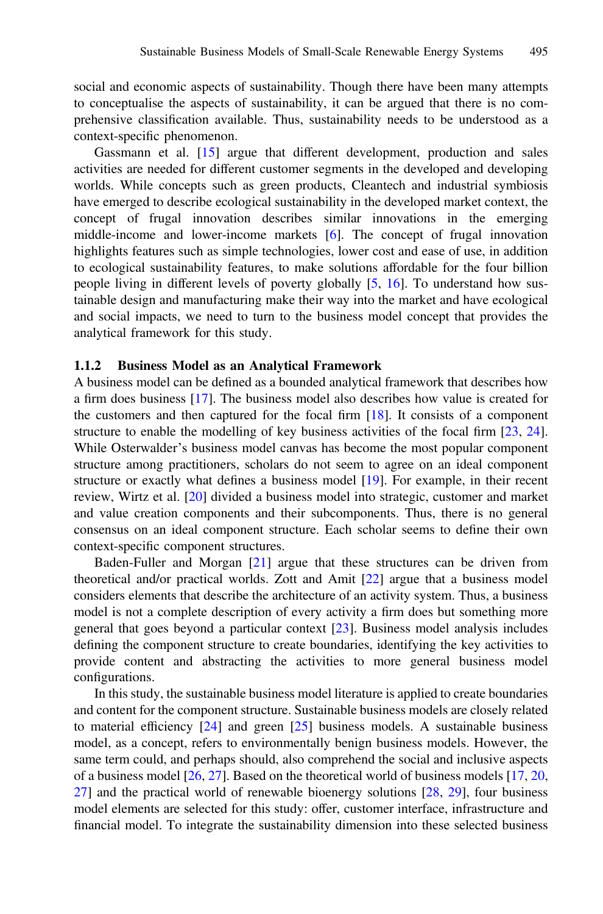social and economic aspects of sustainability. Though there have been many attempts to conceptualise the aspects of sustainability, it can be argued that there is no comprehensive classification available. Thus, sustainability needs to be understood as a context-specific phenomenon.

Gassmann et al. [[15\]](#page-10-0) argue that different development, production and sales activities are needed for different customer segments in the developed and developing worlds. While concepts such as green products, Cleantech and industrial symbiosis have emerged to describe ecological sustainability in the developed market context, the concept of frugal innovation describes similar innovations in the emerging middle-income and lower-income markets [\[6](#page-10-0)]. The concept of frugal innovation highlights features such as simple technologies, lower cost and ease of use, in addition to ecological sustainability features, to make solutions affordable for the four billion people living in different levels of poverty globally [[5,](#page-10-0) [16\]](#page-11-0). To understand how sustainable design and manufacturing make their way into the market and have ecological and social impacts, we need to turn to the business model concept that provides the analytical framework for this study.

#### 1.1.2 Business Model as an Analytical Framework

A business model can be defined as a bounded analytical framework that describes how a firm does business [[17\]](#page-11-0). The business model also describes how value is created for the customers and then captured for the focal firm [\[18](#page-11-0)]. It consists of a component structure to enable the modelling of key business activities of the focal firm [\[23](#page-11-0), [24\]](#page-11-0). While Osterwalder's business model canvas has become the most popular component structure among practitioners, scholars do not seem to agree on an ideal component structure or exactly what defines a business model [[19\]](#page-11-0). For example, in their recent review, Wirtz et al. [[20\]](#page-11-0) divided a business model into strategic, customer and market and value creation components and their subcomponents. Thus, there is no general consensus on an ideal component structure. Each scholar seems to define their own context-specific component structures.

Baden-Fuller and Morgan [[21\]](#page-11-0) argue that these structures can be driven from theoretical and/or practical worlds. Zott and Amit [[22\]](#page-11-0) argue that a business model considers elements that describe the architecture of an activity system. Thus, a business model is not a complete description of every activity a firm does but something more general that goes beyond a particular context [[23\]](#page-11-0). Business model analysis includes defining the component structure to create boundaries, identifying the key activities to provide content and abstracting the activities to more general business model configurations.

In this study, the sustainable business model literature is applied to create boundaries and content for the component structure. Sustainable business models are closely related to material efficiency [[24\]](#page-11-0) and green [[25\]](#page-11-0) business models. A sustainable business model, as a concept, refers to environmentally benign business models. However, the same term could, and perhaps should, also comprehend the social and inclusive aspects of a business model [\[26](#page-11-0), [27\]](#page-11-0). Based on the theoretical world of business models [\[17](#page-11-0), [20](#page-11-0), [27\]](#page-11-0) and the practical world of renewable bioenergy solutions [[28,](#page-11-0) [29\]](#page-11-0), four business model elements are selected for this study: offer, customer interface, infrastructure and financial model. To integrate the sustainability dimension into these selected business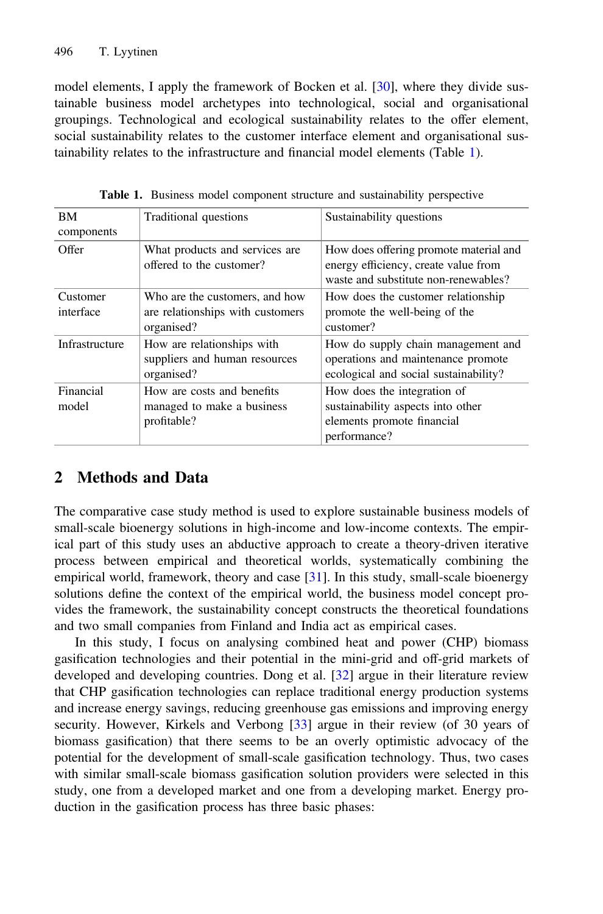model elements, I apply the framework of Bocken et al. [[30\]](#page-11-0), where they divide sustainable business model archetypes into technological, social and organisational groupings. Technological and ecological sustainability relates to the offer element, social sustainability relates to the customer interface element and organisational sustainability relates to the infrastructure and financial model elements (Table 1).

| <b>BM</b><br>components | Traditional questions                                                            | Sustainability questions                                                                                               |
|-------------------------|----------------------------------------------------------------------------------|------------------------------------------------------------------------------------------------------------------------|
| Offer                   | What products and services are<br>offered to the customer?                       | How does offering promote material and<br>energy efficiency, create value from<br>waste and substitute non-renewables? |
| Customer<br>interface   | Who are the customers, and how<br>are relationships with customers<br>organised? | How does the customer relationship<br>promote the well-being of the<br>customer?                                       |
| Infrastructure          | How are relationships with<br>suppliers and human resources<br>organised?        | How do supply chain management and<br>operations and maintenance promote<br>ecological and social sustainability?      |
| Financial<br>model      | How are costs and benefits<br>managed to make a business<br>profitable?          | How does the integration of<br>sustainability aspects into other<br>elements promote financial<br>performance?         |

Table 1. Business model component structure and sustainability perspective

# 2 Methods and Data

The comparative case study method is used to explore sustainable business models of small-scale bioenergy solutions in high-income and low-income contexts. The empirical part of this study uses an abductive approach to create a theory-driven iterative process between empirical and theoretical worlds, systematically combining the empirical world, framework, theory and case [\[31](#page-11-0)]. In this study, small-scale bioenergy solutions define the context of the empirical world, the business model concept provides the framework, the sustainability concept constructs the theoretical foundations and two small companies from Finland and India act as empirical cases.

In this study, I focus on analysing combined heat and power (CHP) biomass gasification technologies and their potential in the mini-grid and off-grid markets of developed and developing countries. Dong et al. [[32\]](#page-11-0) argue in their literature review that CHP gasification technologies can replace traditional energy production systems and increase energy savings, reducing greenhouse gas emissions and improving energy security. However, Kirkels and Verbong [\[33](#page-11-0)] argue in their review (of 30 years of biomass gasification) that there seems to be an overly optimistic advocacy of the potential for the development of small-scale gasification technology. Thus, two cases with similar small-scale biomass gasification solution providers were selected in this study, one from a developed market and one from a developing market. Energy production in the gasification process has three basic phases: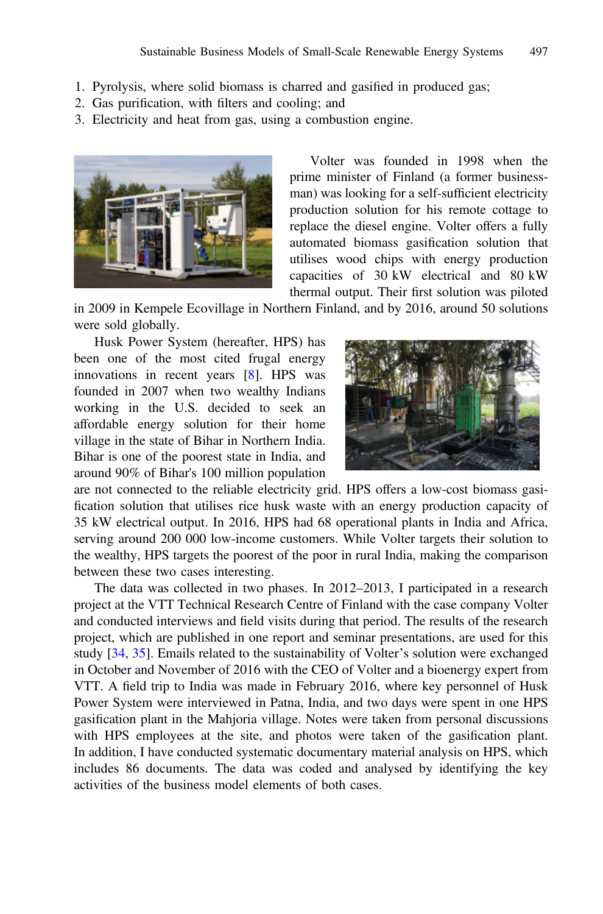- 1. Pyrolysis, where solid biomass is charred and gasified in produced gas;
- 2. Gas purification, with filters and cooling; and
- 3. Electricity and heat from gas, using a combustion engine.



Volter was founded in 1998 when the prime minister of Finland (a former businessman) was looking for a self-sufficient electricity production solution for his remote cottage to replace the diesel engine. Volter offers a fully automated biomass gasification solution that utilises wood chips with energy production capacities of 30 kW electrical and 80 kW thermal output. Their first solution was piloted

in 2009 in Kempele Ecovillage in Northern Finland, and by 2016, around 50 solutions were sold globally.

Husk Power System (hereafter, HPS) has been one of the most cited frugal energy innovations in recent years [[8\]](#page-10-0). HPS was founded in 2007 when two wealthy Indians working in the U.S. decided to seek an affordable energy solution for their home village in the state of Bihar in Northern India. Bihar is one of the poorest state in India, and around 90% of Bihar's 100 million population



are not connected to the reliable electricity grid. HPS offers a low-cost biomass gasification solution that utilises rice husk waste with an energy production capacity of 35 kW electrical output. In 2016, HPS had 68 operational plants in India and Africa, serving around 200 000 low-income customers. While Volter targets their solution to the wealthy, HPS targets the poorest of the poor in rural India, making the comparison between these two cases interesting.

The data was collected in two phases. In 2012–2013, I participated in a research project at the VTT Technical Research Centre of Finland with the case company Volter and conducted interviews and field visits during that period. The results of the research project, which are published in one report and seminar presentations, are used for this study [\[34](#page-11-0), [35](#page-11-0)]. Emails related to the sustainability of Volter's solution were exchanged in October and November of 2016 with the CEO of Volter and a bioenergy expert from VTT. A field trip to India was made in February 2016, where key personnel of Husk Power System were interviewed in Patna, India, and two days were spent in one HPS gasification plant in the Mahjoria village. Notes were taken from personal discussions with HPS employees at the site, and photos were taken of the gasification plant. In addition, I have conducted systematic documentary material analysis on HPS, which includes 86 documents. The data was coded and analysed by identifying the key activities of the business model elements of both cases.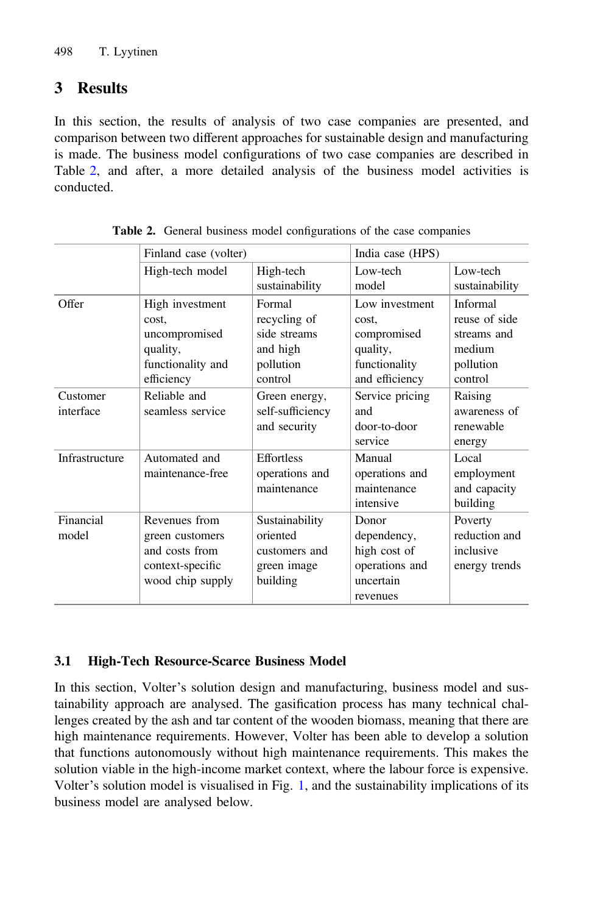# 3 Results

In this section, the results of analysis of two case companies are presented, and comparison between two different approaches for sustainable design and manufacturing is made. The business model configurations of two case companies are described in Table 2, and after, a more detailed analysis of the business model activities is conducted.

|                | Finland case (volter) |                   | India case (HPS) |                |
|----------------|-----------------------|-------------------|------------------|----------------|
|                | High-tech model       | High-tech         | Low-tech         | Low-tech       |
|                |                       | sustainability    | model            | sustainability |
| Offer          | High investment       | Formal            | Low investment   | Informal       |
|                | cost.                 | recycling of      | cost,            | reuse of side  |
|                | uncompromised         | side streams      | compromised      | streams and    |
|                | quality,              | and high          | quality,         | medium         |
|                | functionality and     | pollution         | functionality    | pollution      |
|                | efficiency            | control           | and efficiency   | control        |
| Customer       | Reliable and          | Green energy,     | Service pricing  | Raising        |
| interface      | seamless service      | self-sufficiency  | and              | awareness of   |
|                |                       | and security      | door-to-door     | renewable      |
|                |                       |                   | service          | energy         |
| Infrastructure | Automated and         | <b>Effortless</b> | Manual           | Local          |
|                | maintenance-free      | operations and    | operations and   | employment     |
|                |                       | maintenance       | maintenance      | and capacity   |
|                |                       |                   | intensive        | building       |
| Financial      | Revenues from         | Sustainability    | Donor            | Poverty        |
| model          | green customers       | oriented          | dependency,      | reduction and  |
|                | and costs from        | customers and     | high cost of     | inclusive      |
|                | context-specific      | green image       | operations and   | energy trends  |
|                | wood chip supply      | building          | uncertain        |                |
|                |                       |                   | revenues         |                |

Table 2. General business model configurations of the case companies

# 3.1 High-Tech Resource-Scarce Business Model

In this section, Volter's solution design and manufacturing, business model and sustainability approach are analysed. The gasification process has many technical challenges created by the ash and tar content of the wooden biomass, meaning that there are high maintenance requirements. However, Volter has been able to develop a solution that functions autonomously without high maintenance requirements. This makes the solution viable in the high-income market context, where the labour force is expensive. Volter's solution model is visualised in Fig. [1](#page-6-0), and the sustainability implications of its business model are analysed below.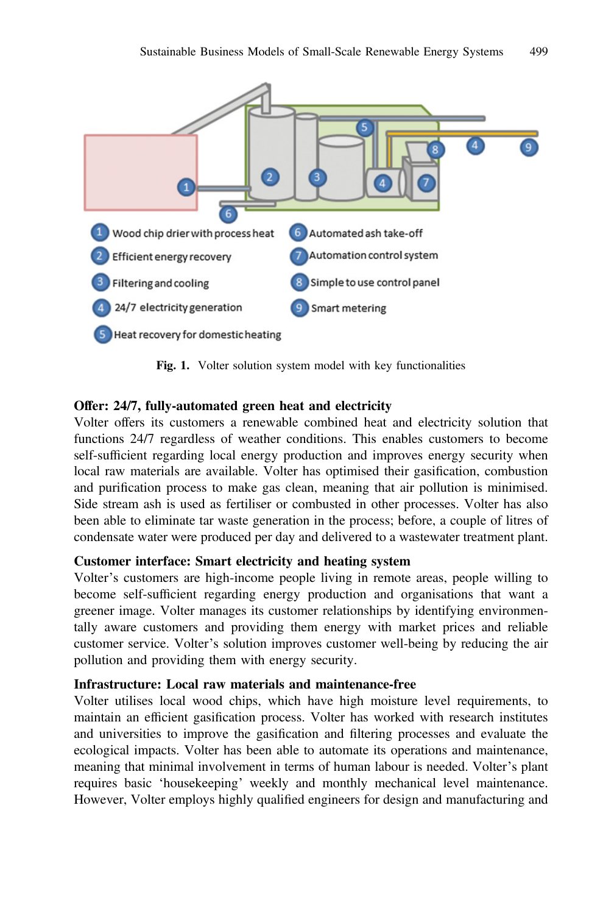<span id="page-6-0"></span>

Fig. 1. Volter solution system model with key functionalities

## Offer: 24/7, fully-automated green heat and electricity

Volter offers its customers a renewable combined heat and electricity solution that functions 24/7 regardless of weather conditions. This enables customers to become self-sufficient regarding local energy production and improves energy security when local raw materials are available. Volter has optimised their gasification, combustion and purification process to make gas clean, meaning that air pollution is minimised. Side stream ash is used as fertiliser or combusted in other processes. Volter has also been able to eliminate tar waste generation in the process; before, a couple of litres of condensate water were produced per day and delivered to a wastewater treatment plant.

## Customer interface: Smart electricity and heating system

Volter's customers are high-income people living in remote areas, people willing to become self-sufficient regarding energy production and organisations that want a greener image. Volter manages its customer relationships by identifying environmentally aware customers and providing them energy with market prices and reliable customer service. Volter's solution improves customer well-being by reducing the air pollution and providing them with energy security.

## Infrastructure: Local raw materials and maintenance-free

Volter utilises local wood chips, which have high moisture level requirements, to maintain an efficient gasification process. Volter has worked with research institutes and universities to improve the gasification and filtering processes and evaluate the ecological impacts. Volter has been able to automate its operations and maintenance, meaning that minimal involvement in terms of human labour is needed. Volter's plant requires basic 'housekeeping' weekly and monthly mechanical level maintenance. However, Volter employs highly qualified engineers for design and manufacturing and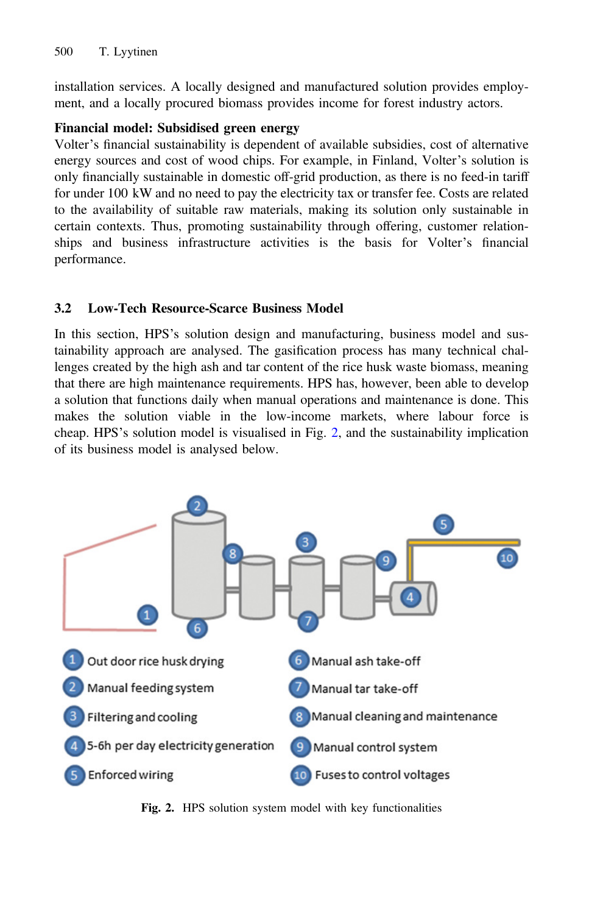installation services. A locally designed and manufactured solution provides employment, and a locally procured biomass provides income for forest industry actors.

# Financial model: Subsidised green energy

Volter's financial sustainability is dependent of available subsidies, cost of alternative energy sources and cost of wood chips. For example, in Finland, Volter's solution is only financially sustainable in domestic off-grid production, as there is no feed-in tariff for under 100 kW and no need to pay the electricity tax or transfer fee. Costs are related to the availability of suitable raw materials, making its solution only sustainable in certain contexts. Thus, promoting sustainability through offering, customer relationships and business infrastructure activities is the basis for Volter's financial performance.

# 3.2 Low-Tech Resource-Scarce Business Model

In this section, HPS's solution design and manufacturing, business model and sustainability approach are analysed. The gasification process has many technical challenges created by the high ash and tar content of the rice husk waste biomass, meaning that there are high maintenance requirements. HPS has, however, been able to develop a solution that functions daily when manual operations and maintenance is done. This makes the solution viable in the low-income markets, where labour force is cheap. HPS's solution model is visualised in Fig. 2, and the sustainability implication of its business model is analysed below.



Fig. 2. HPS solution system model with key functionalities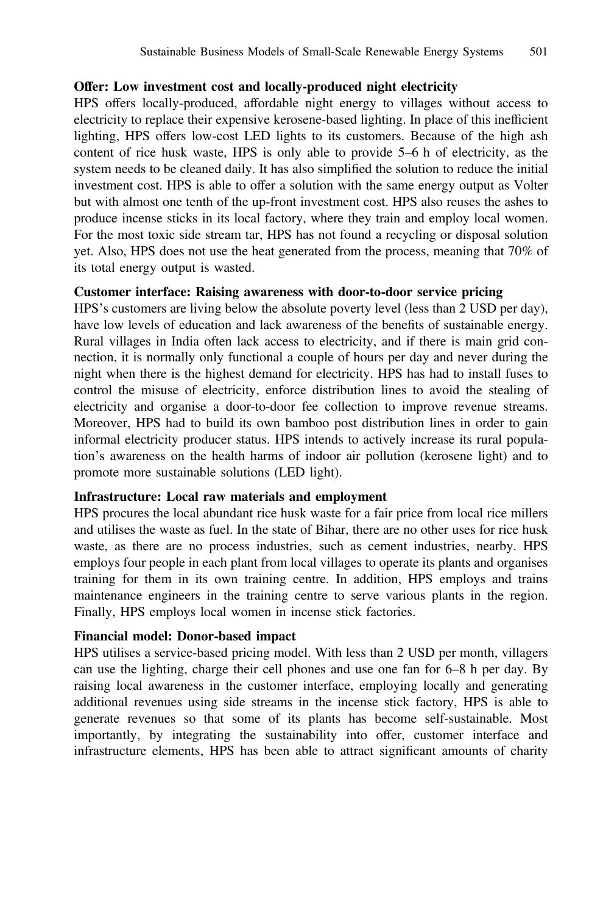#### Offer: Low investment cost and locally-produced night electricity

HPS offers locally-produced, affordable night energy to villages without access to electricity to replace their expensive kerosene-based lighting. In place of this inefficient lighting, HPS offers low-cost LED lights to its customers. Because of the high ash content of rice husk waste, HPS is only able to provide 5–6 h of electricity, as the system needs to be cleaned daily. It has also simplified the solution to reduce the initial investment cost. HPS is able to offer a solution with the same energy output as Volter but with almost one tenth of the up-front investment cost. HPS also reuses the ashes to produce incense sticks in its local factory, where they train and employ local women. For the most toxic side stream tar, HPS has not found a recycling or disposal solution yet. Also, HPS does not use the heat generated from the process, meaning that 70% of its total energy output is wasted.

#### Customer interface: Raising awareness with door-to-door service pricing

HPS's customers are living below the absolute poverty level (less than 2 USD per day), have low levels of education and lack awareness of the benefits of sustainable energy. Rural villages in India often lack access to electricity, and if there is main grid connection, it is normally only functional a couple of hours per day and never during the night when there is the highest demand for electricity. HPS has had to install fuses to control the misuse of electricity, enforce distribution lines to avoid the stealing of electricity and organise a door-to-door fee collection to improve revenue streams. Moreover, HPS had to build its own bamboo post distribution lines in order to gain informal electricity producer status. HPS intends to actively increase its rural population's awareness on the health harms of indoor air pollution (kerosene light) and to promote more sustainable solutions (LED light).

#### Infrastructure: Local raw materials and employment

HPS procures the local abundant rice husk waste for a fair price from local rice millers and utilises the waste as fuel. In the state of Bihar, there are no other uses for rice husk waste, as there are no process industries, such as cement industries, nearby. HPS employs four people in each plant from local villages to operate its plants and organises training for them in its own training centre. In addition, HPS employs and trains maintenance engineers in the training centre to serve various plants in the region. Finally, HPS employs local women in incense stick factories.

#### Financial model: Donor-based impact

HPS utilises a service-based pricing model. With less than 2 USD per month, villagers can use the lighting, charge their cell phones and use one fan for 6–8 h per day. By raising local awareness in the customer interface, employing locally and generating additional revenues using side streams in the incense stick factory, HPS is able to generate revenues so that some of its plants has become self-sustainable. Most importantly, by integrating the sustainability into offer, customer interface and infrastructure elements, HPS has been able to attract significant amounts of charity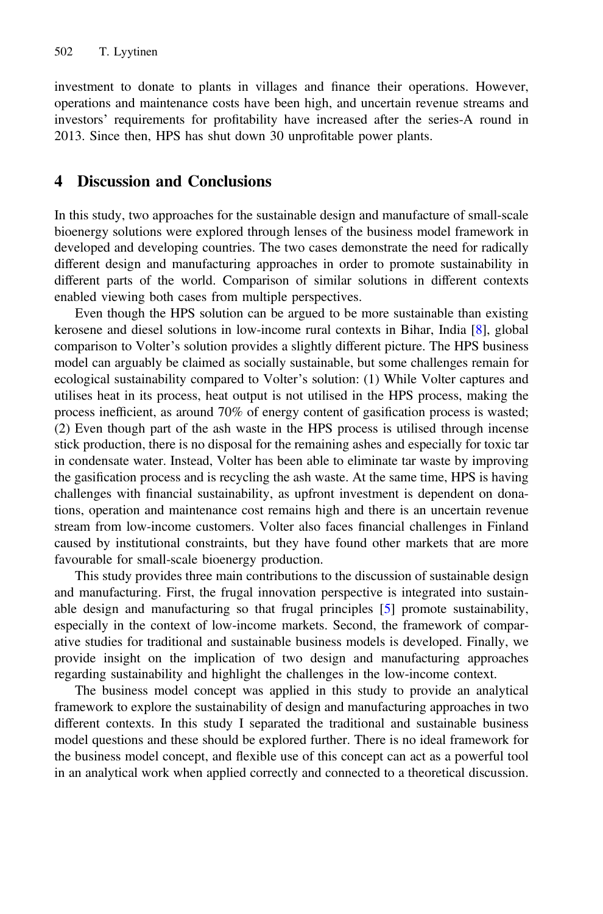investment to donate to plants in villages and finance their operations. However, operations and maintenance costs have been high, and uncertain revenue streams and investors' requirements for profitability have increased after the series-A round in 2013. Since then, HPS has shut down 30 unprofitable power plants.

## 4 Discussion and Conclusions

In this study, two approaches for the sustainable design and manufacture of small-scale bioenergy solutions were explored through lenses of the business model framework in developed and developing countries. The two cases demonstrate the need for radically different design and manufacturing approaches in order to promote sustainability in different parts of the world. Comparison of similar solutions in different contexts enabled viewing both cases from multiple perspectives.

Even though the HPS solution can be argued to be more sustainable than existing kerosene and diesel solutions in low-income rural contexts in Bihar, India [[8\]](#page-10-0), global comparison to Volter's solution provides a slightly different picture. The HPS business model can arguably be claimed as socially sustainable, but some challenges remain for ecological sustainability compared to Volter's solution: (1) While Volter captures and utilises heat in its process, heat output is not utilised in the HPS process, making the process inefficient, as around 70% of energy content of gasification process is wasted; (2) Even though part of the ash waste in the HPS process is utilised through incense stick production, there is no disposal for the remaining ashes and especially for toxic tar in condensate water. Instead, Volter has been able to eliminate tar waste by improving the gasification process and is recycling the ash waste. At the same time, HPS is having challenges with financial sustainability, as upfront investment is dependent on donations, operation and maintenance cost remains high and there is an uncertain revenue stream from low-income customers. Volter also faces financial challenges in Finland caused by institutional constraints, but they have found other markets that are more favourable for small-scale bioenergy production.

This study provides three main contributions to the discussion of sustainable design and manufacturing. First, the frugal innovation perspective is integrated into sustainable design and manufacturing so that frugal principles [[5\]](#page-10-0) promote sustainability, especially in the context of low-income markets. Second, the framework of comparative studies for traditional and sustainable business models is developed. Finally, we provide insight on the implication of two design and manufacturing approaches regarding sustainability and highlight the challenges in the low-income context.

The business model concept was applied in this study to provide an analytical framework to explore the sustainability of design and manufacturing approaches in two different contexts. In this study I separated the traditional and sustainable business model questions and these should be explored further. There is no ideal framework for the business model concept, and flexible use of this concept can act as a powerful tool in an analytical work when applied correctly and connected to a theoretical discussion.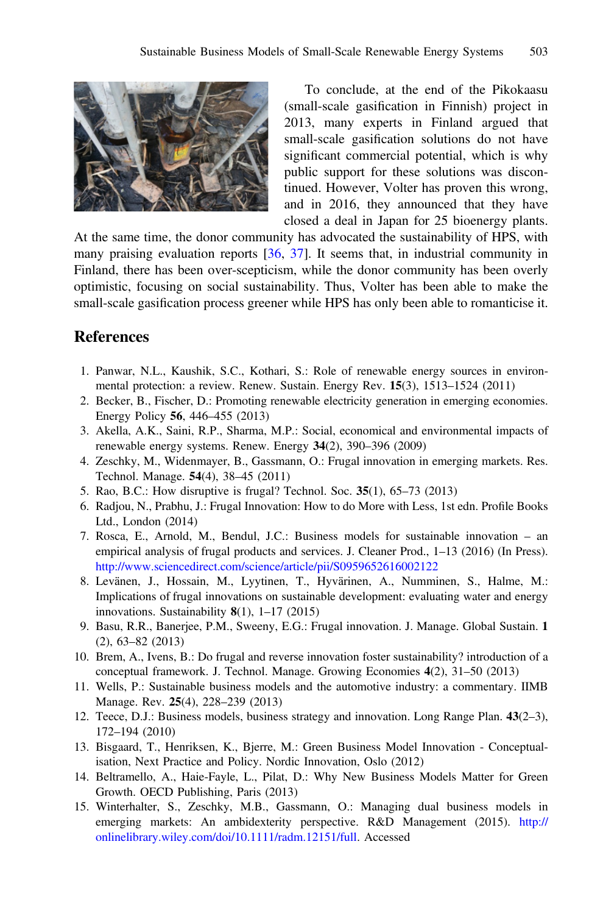<span id="page-10-0"></span>

To conclude, at the end of the Pikokaasu (small-scale gasification in Finnish) project in 2013, many experts in Finland argued that small-scale gasification solutions do not have significant commercial potential, which is why public support for these solutions was discontinued. However, Volter has proven this wrong, and in 2016, they announced that they have closed a deal in Japan for 25 bioenergy plants.

At the same time, the donor community has advocated the sustainability of HPS, with many praising evaluation reports [\[36](#page-11-0), [37](#page-11-0)]. It seems that, in industrial community in Finland, there has been over-scepticism, while the donor community has been overly optimistic, focusing on social sustainability. Thus, Volter has been able to make the small-scale gasification process greener while HPS has only been able to romanticise it.

# References

- 1. Panwar, N.L., Kaushik, S.C., Kothari, S.: Role of renewable energy sources in environmental protection: a review. Renew. Sustain. Energy Rev. 15(3), 1513–1524 (2011)
- 2. Becker, B., Fischer, D.: Promoting renewable electricity generation in emerging economies. Energy Policy 56, 446–455 (2013)
- 3. Akella, A.K., Saini, R.P., Sharma, M.P.: Social, economical and environmental impacts of renewable energy systems. Renew. Energy 34(2), 390–396 (2009)
- 4. Zeschky, M., Widenmayer, B., Gassmann, O.: Frugal innovation in emerging markets. Res. Technol. Manage. 54(4), 38–45 (2011)
- 5. Rao, B.C.: How disruptive is frugal? Technol. Soc. 35(1), 65–73 (2013)
- 6. Radjou, N., Prabhu, J.: Frugal Innovation: How to do More with Less, 1st edn. Profile Books Ltd., London (2014)
- 7. Rosca, E., Arnold, M., Bendul, J.C.: Business models for sustainable innovation an empirical analysis of frugal products and services. J. Cleaner Prod., 1–13 (2016) (In Press). <http://www.sciencedirect.com/science/article/pii/S0959652616002122>
- 8. Levänen, J., Hossain, M., Lyytinen, T., Hyvärinen, A., Numminen, S., Halme, M.: Implications of frugal innovations on sustainable development: evaluating water and energy innovations. Sustainability  $8(1)$ ,  $1-17$  (2015)
- 9. Basu, R.R., Banerjee, P.M., Sweeny, E.G.: Frugal innovation. J. Manage. Global Sustain. 1 (2), 63–82 (2013)
- 10. Brem, A., Ivens, B.: Do frugal and reverse innovation foster sustainability? introduction of a conceptual framework. J. Technol. Manage. Growing Economies 4(2), 31–50 (2013)
- 11. Wells, P.: Sustainable business models and the automotive industry: a commentary. IIMB Manage. Rev. 25(4), 228–239 (2013)
- 12. Teece, D.J.: Business models, business strategy and innovation. Long Range Plan. 43(2–3), 172–194 (2010)
- 13. Bisgaard, T., Henriksen, K., Bjerre, M.: Green Business Model Innovation Conceptualisation, Next Practice and Policy. Nordic Innovation, Oslo (2012)
- 14. Beltramello, A., Haie-Fayle, L., Pilat, D.: Why New Business Models Matter for Green Growth. OECD Publishing, Paris (2013)
- 15. Winterhalter, S., Zeschky, M.B., Gassmann, O.: Managing dual business models in emerging markets: An ambidexterity perspective. R&D Management (2015). [http://](http://onlinelibrary.wiley.com/doi/10.1111/radm.12151/full) [onlinelibrary.wiley.com/doi/10.1111/radm.12151/full](http://onlinelibrary.wiley.com/doi/10.1111/radm.12151/full). Accessed